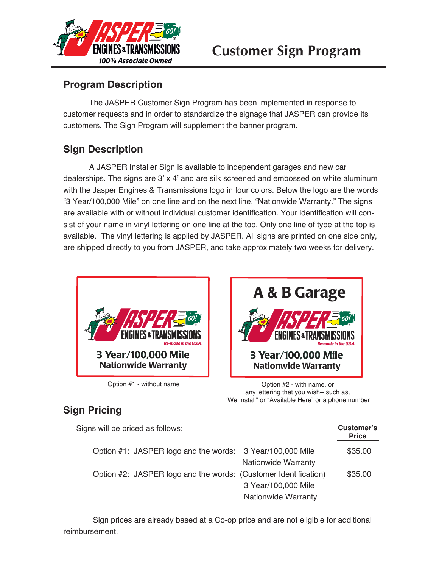

# **Customer Sign Program**

### **Program Description**

The JASPER Customer Sign Program has been implemented in response to customer requests and in order to standardize the signage that JASPER can provide its customers. The Sign Program will supplement the banner program.

## **Sign Description**

A JASPER Installer Sign is available to independent garages and new car dealerships. The signs are 3' x 4' and are silk screened and embossed on white aluminum with the Jasper Engines & Transmissions logo in four colors. Below the logo are the words "3 Year/100,000 Mile" on one line and on the next line, "Nationwide Warranty." The signs are available with or without individual customer identification. Your identification will consist of your name in vinyl lettering on one line at the top. Only one line of type at the top is available. The vinyl lettering is applied by JASPER. All signs are printed on one side only, are shipped directly to you from JASPER, and take approximately two weeks for delivery.





Option #1 - without name Option #2 - with name, or any lettering that you wish-- such as, "We Install" or "Available Here" or a phone number

> **Customer's Price**

### **Sign Pricing**

Signs will be priced as follows:

|  |                                                                 |                            | <b>Price</b> |
|--|-----------------------------------------------------------------|----------------------------|--------------|
|  | Option #1: JASPER logo and the words: 3 Year/100,000 Mile       |                            | \$35.00      |
|  |                                                                 | <b>Nationwide Warranty</b> |              |
|  | Option #2: JASPER logo and the words: (Customer Identification) |                            | \$35.00      |
|  |                                                                 | 3 Year/100,000 Mile        |              |
|  |                                                                 | <b>Nationwide Warranty</b> |              |
|  |                                                                 |                            |              |

 Sign prices are already based at a Co-op price and are not eligible for additional reimbursement.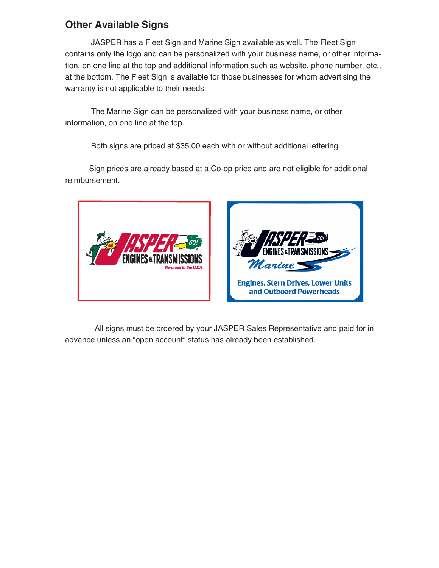#### **Other Available Signs**

JASPER has a Fleet Sign and Marine Sign available as well. The Fleet Sign contains only the logo and can be personalized with your business name, or other information, on one line at the top and additional information such as website, phone number, etc., at the bottom. The Fleet Sign is available for those businesses for whom advertising the warranty is not applicable to their needs.

The Marine Sign can be personalized with your business name, or other information, on one line at the top.

Both signs are priced at \$35.00 each with or without additional lettering.

 Sign prices are already based at a Co-op price and are not eligible for additional reimbursement.



 All signs must be ordered by your JASPER Sales Representative and paid for in advance unless an "open account" status has already been established.